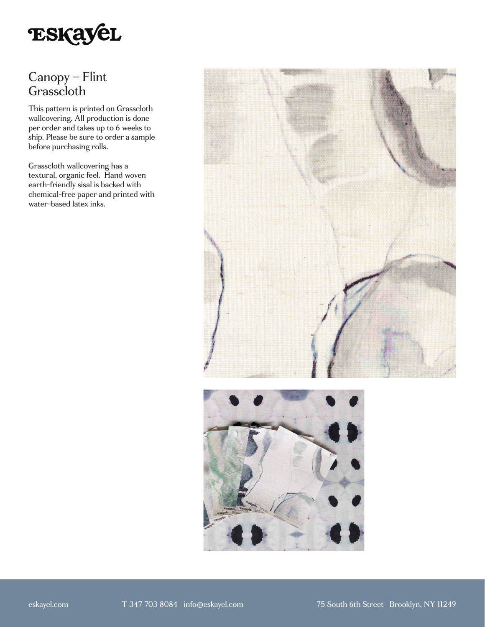

# Canopy – Flint Grasscloth

This pattern is printed on Grasscloth wallcovering. All production is done per order and takes up to 6 weeks to ship. Please be sure to order a sample before purchasing rolls.

Grasscloth wallcovering has a textural, organic feel. Hand woven earth-friendly sisal is backed with chemical-free paper and printed with water-based latex inks.



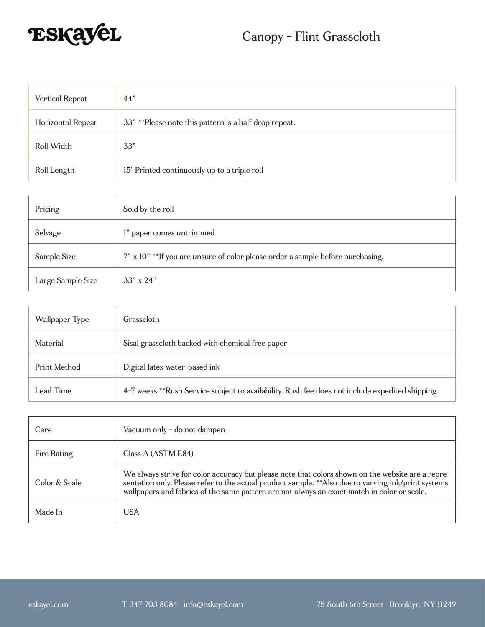

| Vertical Repeat   | 44"                                                   |
|-------------------|-------------------------------------------------------|
| Horizontal Repeat | 33" **Please note this pattern is a half drop repeat. |
| Roll Width        | 33"                                                   |
| Roll Length       | 15' Printed continuously up to a triple roll          |

| Pricing           | Sold by the roll                                                                |
|-------------------|---------------------------------------------------------------------------------|
| Selvage           | l" paper comes untrimmed                                                        |
| Sample Size       | 7" x 10" ** If you are unsure of color please order a sample before purchasing. |
| Large Sample Size | $33'' \times 24''$                                                              |

| Wallpaper Type | Grasscloth                                                                                      |
|----------------|-------------------------------------------------------------------------------------------------|
| Material       | Sisal grasscloth backed with chemical free paper                                                |
| Print Method   | Digital latex water-based ink                                                                   |
| Lead Time      | 4-7 weeks **Rush Service subject to availability. Rush fee does not include expedited shipping. |

| Care          | Vacuum only - do not dampen                                                                                                                                                                                                                                                                             |
|---------------|---------------------------------------------------------------------------------------------------------------------------------------------------------------------------------------------------------------------------------------------------------------------------------------------------------|
| Fire Rating   | Class A (ASTM E84)                                                                                                                                                                                                                                                                                      |
| Color & Scale | We always strive for color accuracy but please note that colors shown on the website are a repre-<br>sentation only. Please refer to the actual product sample. ** Also due to varying ink/print systems<br>wallpapers and fabrics of the same pattern are not always an exact match in color or scale. |
| Made In       | USA                                                                                                                                                                                                                                                                                                     |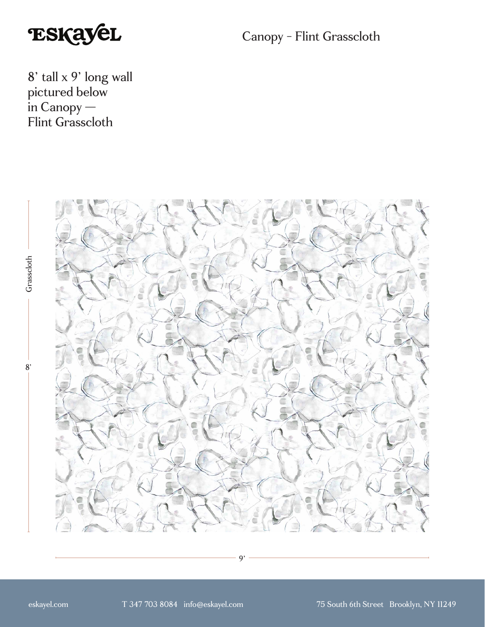

Canopy - Flint Grasscloth

8' tall x 9' long wall pictured below in Canopy — Flint Grasscloth



9'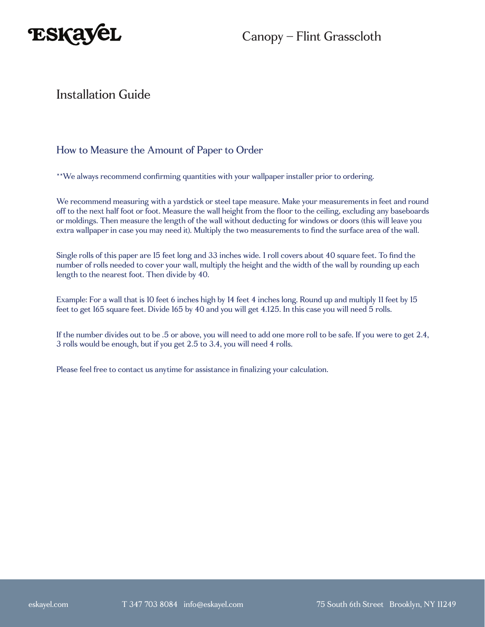

Canopy – Flint Grasscloth

### Installation Guide

#### How to Measure the Amount of Paper to Order

\*\*We always recommend confirming quantities with your wallpaper installer prior to ordering.

We recommend measuring with a yardstick or steel tape measure. Make your measurements in feet and round off to the next half foot or foot. Measure the wall height from the floor to the ceiling, excluding any baseboards or moldings. Then measure the length of the wall without deducting for windows or doors (this will leave you extra wallpaper in case you may need it). Multiply the two measurements to find the surface area of the wall.

Single rolls of this paper are 15 feet long and 33 inches wide. 1 roll covers about 40 square feet. To find the number of rolls needed to cover your wall, multiply the height and the width of the wall by rounding up each length to the nearest foot. Then divide by 40.

Example: For a wall that is 10 feet 6 inches high by 14 feet 4 inches long. Round up and multiply 11 feet by 15 feet to get 165 square feet. Divide 165 by 40 and you will get 4.125. In this case you will need 5 rolls.

If the number divides out to be .5 or above, you will need to add one more roll to be safe. If you were to get 2.4, 3 rolls would be enough, but if you get 2.5 to 3.4, you will need 4 rolls.

Please feel free to contact us anytime for assistance in finalizing your calculation.